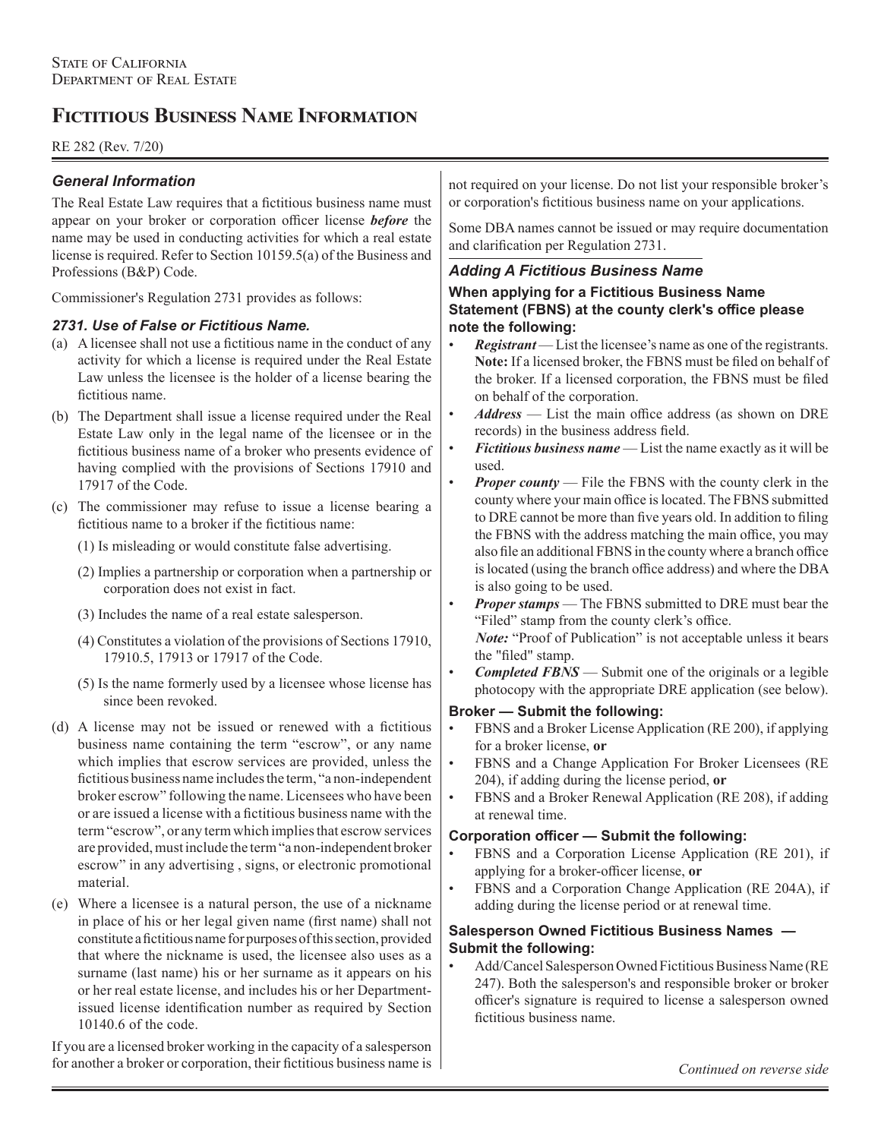# **Fictitious Business Name Information**

# RE 282 (Rev. 7/20)

# *General Information*

The Real Estate Law requires that a fictitious business name must appear on your broker or corporation officer license *before* the name may be used in conducting activities for which a real estate license is required. Refer to Section 10159.5(a) of the Business and Professions (B&P) Code.

Commissioner's Regulation 2731 provides as follows:

## *2731. Use of False or Fictitious Name.*

- (a) A licensee shall not use a fictitious name in the conduct of any activity for which a license is required under the Real Estate Law unless the licensee is the holder of a license bearing the fictitious name.
- (b) The Department shall issue a license required under the Real Estate Law only in the legal name of the licensee or in the fictitious business name of a broker who presents evidence of having complied with the provisions of Sections 17910 and 17917 of the Code.
- (c) The commissioner may refuse to issue a license bearing a fictitious name to a broker if the fictitious name:
	- (1) Is misleading or would constitute false advertising.
	- (2) Implies a partnership or corporation when a partnership or corporation does not exist in fact.
	- (3) Includes the name of a real estate salesperson.
	- (4) Constitutes a violation of the provisions of Sections 17910, 17910.5, 17913 or 17917 of the Code.
	- (5) Is the name formerly used by a licensee whose license has since been revoked.
- (d) A license may not be issued or renewed with a fictitious business name containing the term "escrow", or any name which implies that escrow services are provided, unless the fictitious business name includes the term, "a non-independent broker escrow" following the name. Licensees who have been or are issued a license with a fictitious business name with the term "escrow", or any term which implies that escrow services are provided, must include the term "a non-independent broker escrow" in any advertising , signs, or electronic promotional material.
- (e) Where a licensee is a natural person, the use of a nickname in place of his or her legal given name (first name) shall not constitute a fictitious name for purposes of this section, provided that where the nickname is used, the licensee also uses as a surname (last name) his or her surname as it appears on his or her real estate license, and includes his or her Departmentissued license identification number as required by Section 10140.6 of the code.

If you are a licensed broker working in the capacity of a salesperson for another a broker or corporation, their fictitious business name is

not required on your license. Do not list your responsible broker's or corporation's fictitious business name on your applications.

Some DBA names cannot be issued or may require documentation and clarification per Regulation 2731.

# *Adding A Fictitious Business Name*

**When applying for a Fictitious Business Name Statement (FBNS) at the county clerk's office please note the following:**

- **Registrant** List the licensee's name as one of the registrants. **Note:** If a licensed broker, the FBNS must be filed on behalf of the broker. If a licensed corporation, the FBNS must be filed on behalf of the corporation.
- *Address* List the main office address (as shown on DRE records) in the business address field.
- *Fictitious business name* List the name exactly as it will be used.
- *Proper county* File the FBNS with the county clerk in the county where your main office is located. The FBNS submitted to DRE cannot be more than five years old. In addition to filing the FBNS with the address matching the main office, you may also file an additional FBNS in the county where a branch office is located (using the branch office address) and where the DBA is also going to be used.
- *Proper stamps* The FBNS submitted to DRE must bear the "Filed" stamp from the county clerk's office.

 *Note:* "Proof of Publication" is not acceptable unless it bears the "filed" stamp.

• *Completed FBNS* — Submit one of the originals or a legible photocopy with the appropriate DRE application (see below).

#### **Broker — Submit the following:**

- FBNS and a Broker License Application (RE 200), if applying for a broker license, **or**
- FBNS and a Change Application For Broker Licensees (RE 204), if adding during the license period, **or**
- FBNS and a Broker Renewal Application (RE 208), if adding at renewal time.

## **Corporation officer — Submit the following:**

- FBNS and a Corporation License Application (RE 201), if applying for a broker-officer license, **or**
- FBNS and a Corporation Change Application (RE 204A), if adding during the license period or at renewal time.

## **Salesperson Owned Fictitious Business Names — Submit the following:**

• Add/Cancel Salesperson Owned Fictitious Business Name (RE 247). Both the salesperson's and responsible broker or broker officer's signature is required to license a salesperson owned fictitious business name.